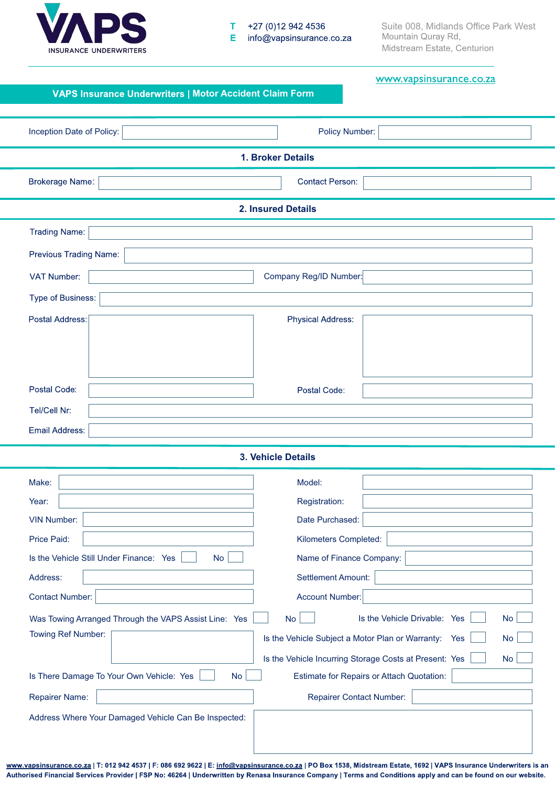

#### $\mathbf T$ +27 (0)12 942 4536  $\mathsf E$ info@vapsinsurance.co.za

Suite 008, Midlands Office Park West<br>Mountain Quray Rd, Midstream Estate, Centurion

| VAPS Insurance Underwriters   Motor Accident Claim Form | www.vapsinsurance.co.za                                             |  |  |  |
|---------------------------------------------------------|---------------------------------------------------------------------|--|--|--|
|                                                         |                                                                     |  |  |  |
| Inception Date of Policy:                               | <b>Policy Number:</b>                                               |  |  |  |
| 1. Broker Details                                       |                                                                     |  |  |  |
| <b>Brokerage Name:</b>                                  | <b>Contact Person:</b>                                              |  |  |  |
| <b>2. Insured Details</b>                               |                                                                     |  |  |  |
| <b>Trading Name:</b>                                    |                                                                     |  |  |  |
| Previous Trading Name:                                  |                                                                     |  |  |  |
| VAT Number:                                             | Company Reg/ID Number:                                              |  |  |  |
| Type of Business:                                       |                                                                     |  |  |  |
| Postal Address:                                         | <b>Physical Address:</b>                                            |  |  |  |
|                                                         |                                                                     |  |  |  |
|                                                         |                                                                     |  |  |  |
| Postal Code:                                            | Postal Code:                                                        |  |  |  |
| Tel/Cell Nr:                                            |                                                                     |  |  |  |
| Email Address:                                          |                                                                     |  |  |  |
|                                                         | 3. Vehicle Details                                                  |  |  |  |
| Make:                                                   | Model:                                                              |  |  |  |
| Year:                                                   | Registration:                                                       |  |  |  |
| <b>VIN Number:</b>                                      | Date Purchased:                                                     |  |  |  |
| Price Paid:                                             | Kilometers Completed:                                               |  |  |  |
| Is the Vehicle Still Under Finance: Yes<br><b>No</b>    | Name of Finance Company:                                            |  |  |  |
| Address:<br><b>Contact Number:</b>                      | <b>Settlement Amount:</b><br><b>Account Number:</b>                 |  |  |  |
| Was Towing Arranged Through the VAPS Assist Line: Yes   | Is the Vehicle Drivable: Yes<br><b>No</b><br><b>No</b>              |  |  |  |
| Towing Ref Number:                                      | Is the Vehicle Subject a Motor Plan or Warranty: Yes<br><b>No</b>   |  |  |  |
|                                                         | Is the Vehicle Incurring Storage Costs at Present: Yes<br><b>No</b> |  |  |  |
| Is There Damage To Your Own Vehicle: Yes<br><b>No</b>   | Estimate for Repairs or Attach Quotation:                           |  |  |  |
| <b>Repairer Name:</b>                                   | <b>Repairer Contact Number:</b>                                     |  |  |  |
| Address Where Your Damaged Vehicle Can Be Inspected:    |                                                                     |  |  |  |
|                                                         |                                                                     |  |  |  |
|                                                         |                                                                     |  |  |  |

www.vapsinsurance.co.za | T: 012 942 4537 | F: 086 692 9622 | E: info@vapsinsurance.co.za | PO Box 1538, Midstream Estate, 1692 | VAPS Insurance Underwriters is an Authorised Financial Services Provider | FSP No: 46264 | Underwritten by Renasa Insurance Company | Terms and Conditions apply and can be found on our website.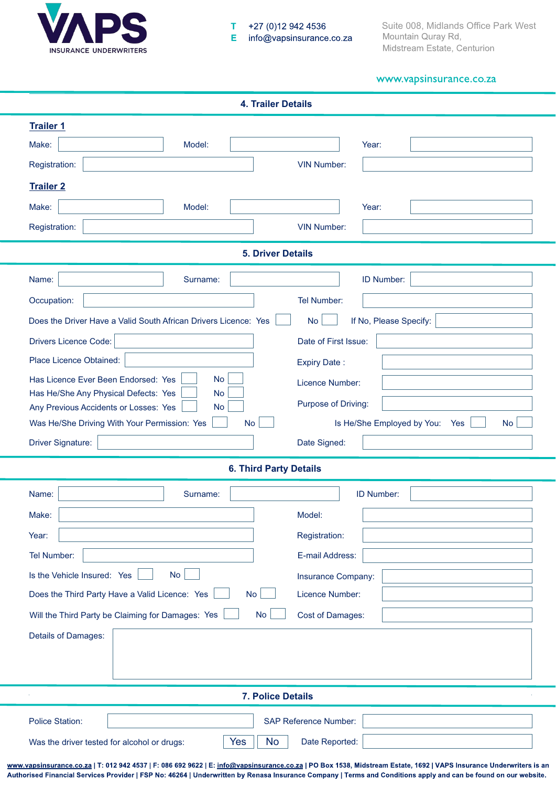

#### +27 (0)12 942 4536 T E info@vapsinsurance.co.za

Suite 008, Midlands Office Park West<br>Mountain Quray Rd, Midstream Estate, Centurion

# www.vapsinsurance.co.za

| <b>4. Trailer Details</b>                                                                   |                                                |  |  |  |  |
|---------------------------------------------------------------------------------------------|------------------------------------------------|--|--|--|--|
| <b>Trailer 1</b><br>Make:<br>Model:<br>Registration:<br><b>Trailer 2</b><br>Make:<br>Model: | Year:<br><b>VIN Number:</b><br>Year:           |  |  |  |  |
| Registration:                                                                               | <b>VIN Number:</b>                             |  |  |  |  |
|                                                                                             |                                                |  |  |  |  |
| <b>5. Driver Details</b>                                                                    |                                                |  |  |  |  |
| Name:<br>Surname:                                                                           | ID Number:                                     |  |  |  |  |
| Occupation:                                                                                 | <b>Tel Number:</b>                             |  |  |  |  |
| Does the Driver Have a Valid South African Drivers Licence: Yes                             | <b>No</b><br>If No, Please Specify:            |  |  |  |  |
| <b>Drivers Licence Code:</b>                                                                | Date of First Issue:                           |  |  |  |  |
| Place Licence Obtained:                                                                     | <b>Expiry Date:</b>                            |  |  |  |  |
| Has Licence Ever Been Endorsed: Yes<br><b>No</b><br><b>No</b>                               | Licence Number:                                |  |  |  |  |
| Has He/She Any Physical Defects: Yes<br><b>No</b><br>Any Previous Accidents or Losses: Yes  | Purpose of Driving:                            |  |  |  |  |
| Was He/She Driving With Your Permission: Yes<br><b>No</b>                                   | Is He/She Employed by You:<br><b>No</b><br>Yes |  |  |  |  |
| Driver Signature:                                                                           | Date Signed:                                   |  |  |  |  |
| <b>6. Third Party Details</b>                                                               |                                                |  |  |  |  |
| Name:<br>Surname:                                                                           | <b>ID Number:</b>                              |  |  |  |  |
| Make:                                                                                       | Model:                                         |  |  |  |  |
|                                                                                             |                                                |  |  |  |  |
| Year:                                                                                       | Registration:                                  |  |  |  |  |
| <b>Tel Number:</b>                                                                          | E-mail Address:                                |  |  |  |  |
| Is the Vehicle Insured: Yes<br><b>No</b>                                                    | Insurance Company:                             |  |  |  |  |
| <b>No</b><br>Does the Third Party Have a Valid Licence: Yes                                 | Licence Number:                                |  |  |  |  |
| Will the Third Party be Claiming for Damages: Yes<br><b>No</b>                              | Cost of Damages:                               |  |  |  |  |
| Details of Damages:                                                                         |                                                |  |  |  |  |
|                                                                                             |                                                |  |  |  |  |
| <b>7. Police Details</b>                                                                    |                                                |  |  |  |  |
| <b>Police Station:</b><br>Yes<br><b>No</b><br>Was the driver tested for alcohol or drugs:   | <b>SAP Reference Number:</b><br>Date Reported: |  |  |  |  |

www.vapsinsurance.co.za | T: 012 942 4537 | F: 086 692 9622 | E: info@vapsinsurance.co.za | PO Box 1538, Midstream Estate, 1692 | VAPS Insurance Underwriters is an Authorised Financial Services Provider | FSP No: 46264 | Underwritten by Renasa Insurance Company | Terms and Conditions apply and can be found on our website.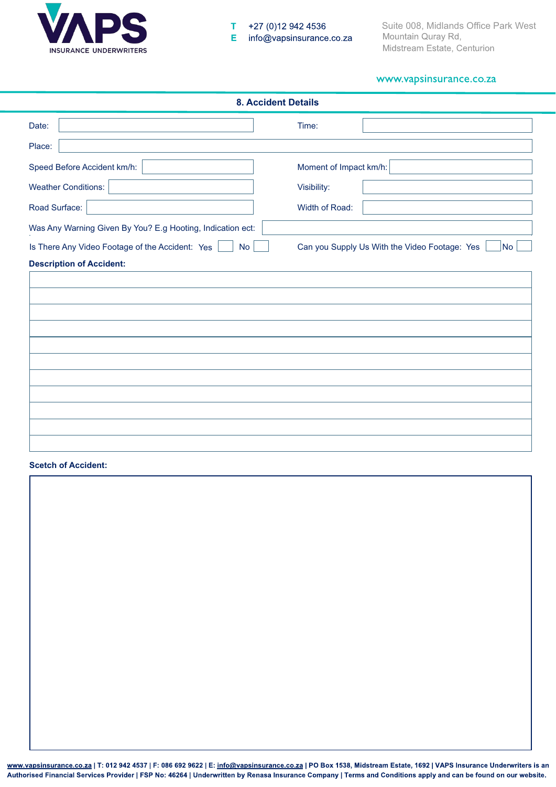

# www.vapsinsurance.co.za

| <b>8. Accident Details</b>                                   |                                                            |  |  |  |
|--------------------------------------------------------------|------------------------------------------------------------|--|--|--|
| Date:                                                        | Time:                                                      |  |  |  |
| Place:                                                       |                                                            |  |  |  |
| Speed Before Accident km/h:                                  | Moment of Impact km/h:                                     |  |  |  |
| <b>Weather Conditions:</b>                                   | Visibility:                                                |  |  |  |
| Road Surface:                                                | Width of Road:                                             |  |  |  |
| Was Any Warning Given By You? E.g Hooting, Indication ect:   |                                                            |  |  |  |
| Is There Any Video Footage of the Accident: Yes<br><b>No</b> | Can you Supply Us With the Video Footage: Yes<br><b>No</b> |  |  |  |
| <b>Description of Accident:</b>                              |                                                            |  |  |  |
|                                                              |                                                            |  |  |  |
|                                                              |                                                            |  |  |  |
|                                                              |                                                            |  |  |  |
|                                                              |                                                            |  |  |  |
|                                                              |                                                            |  |  |  |
|                                                              |                                                            |  |  |  |
|                                                              |                                                            |  |  |  |
|                                                              |                                                            |  |  |  |
|                                                              |                                                            |  |  |  |

## **Scetch of Accident:**

www.vapsinsurance.co.za | T: 012 942 4537 | F: 086 692 9622 | E: info@vapsinsurance.co.za | PO Box 1538, Midstream Estate, 1692 | VAPS Insurance Underwriters is an Authorised Financial Services Provider | FSP No: 46264 | Underwritten by Renasa Insurance Company | Terms and Conditions apply and can be found on our website.